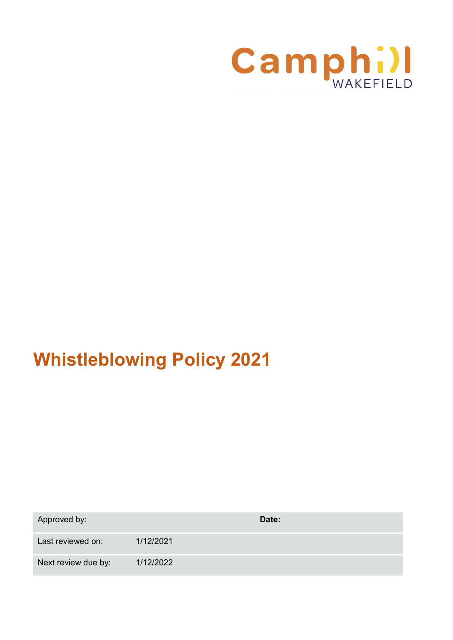

# **Whistleblowing Policy 2021**

| Approved by:        |           | Date: |
|---------------------|-----------|-------|
| Last reviewed on:   | 1/12/2021 |       |
| Next review due by: | 1/12/2022 |       |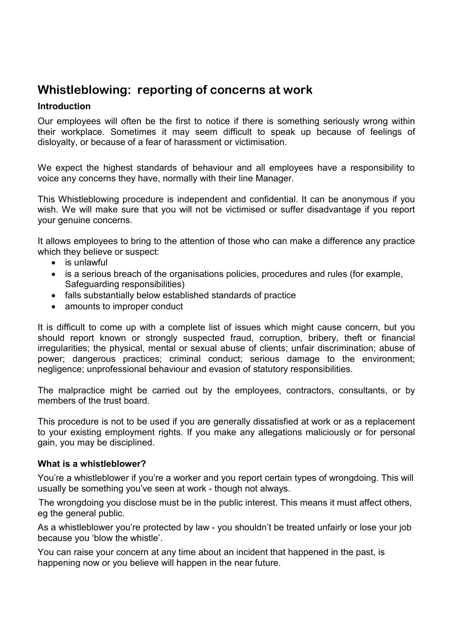# **Whistleblowing: reporting of concerns at work**

# **Introduction**

Our employees will often be the first to notice if there is something seriously wrong within their workplace. Sometimes it may seem difficult to speak up because of feelings of disloyalty, or because of a fear of harassment or victimisation.

We expect the highest standards of behaviour and all employees have a responsibility to voice any concerns they have, normally with their line Manager.

This Whistleblowing procedure is independent and confidential. It can be anonymous if you wish. We will make sure that you will not be victimised or suffer disadvantage if you report your genuine concerns.

It allows employees to bring to the attention of those who can make a difference any practice which they believe or suspect:

- is unlawful
- is a serious breach of the organisations policies, procedures and rules (for example, Safeguarding responsibilities)
- falls substantially below established standards of practice
- amounts to improper conduct

It is difficult to come up with a complete list of issues which might cause concern, but you should report known or strongly suspected fraud, corruption, bribery, theft or financial irregularities; the physical, mental or sexual abuse of clients; unfair discrimination; abuse of power; dangerous practices; criminal conduct; serious damage to the environment; negligence; unprofessional behaviour and evasion of statutory responsibilities.

The malpractice might be carried out by the employees, contractors, consultants, or by members of the trust board.

This procedure is not to be used if you are generally dissatisfied at work or as a replacement to your existing employment rights. If you make any allegations maliciously or for personal gain, you may be disciplined.

#### **What is a whistleblower?**

You're a whistleblower if you're a worker and you report certain types of wrongdoing. This will usually be something you've seen at work - though not always.

The wrongdoing you disclose must be in the public interest. This means it must affect others, eg the general public.

As a whistleblower you're protected by law - you shouldn't be treated unfairly or lose your job because you 'blow the whistle'.

You can raise your concern at any time about an incident that happened in the past, is happening now or you believe will happen in the near future.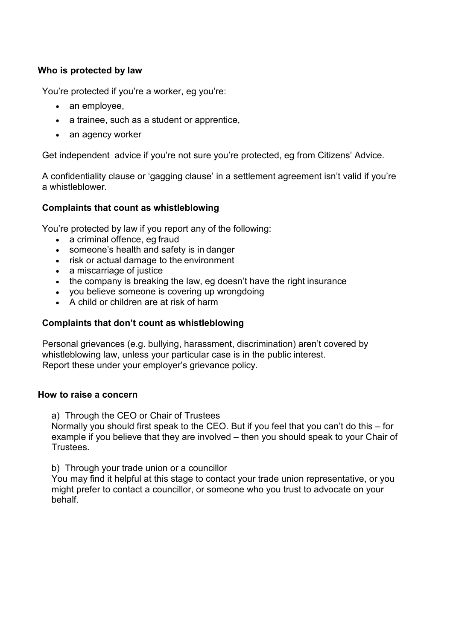# **Who is protected by law**

You're protected if you're a worker, eg you're:

- an employee.
- a trainee, such as a student or apprentice,
- an agency worker

Get independent advice if you're not sure you're protected, eg from Citizens' Advice.

A confidentiality clause or 'gagging clause' in a settlement agreement isn't valid if you're a whistleblower.

#### **Complaints that count as whistleblowing**

You're protected by law if you report any of the following:

- a criminal offence, eg fraud
- someone's health and safety is in danger
- risk or actual damage to the environment
- a miscarriage of justice
- the company is breaking the law, eg doesn't have the right insurance
- you believe someone is covering up wrongdoing
- A child or children are at risk of harm

### **Complaints that don't count as whistleblowing**

Personal grievances (e.g. bullying, harassment, discrimination) aren't covered by whistleblowing law, unless your particular case is in the public interest. Report these under your employer's grievance policy.

#### **How to raise a concern**

a) Through the CEO or Chair of Trustees

Normally you should first speak to the CEO. But if you feel that you can't do this – for example if you believe that they are involved – then you should speak to your Chair of **Trustees** 

b) Through your trade union or a councillor

You may find it helpful at this stage to contact your trade union representative, or you might prefer to contact a councillor, or someone who you trust to advocate on your behalf.